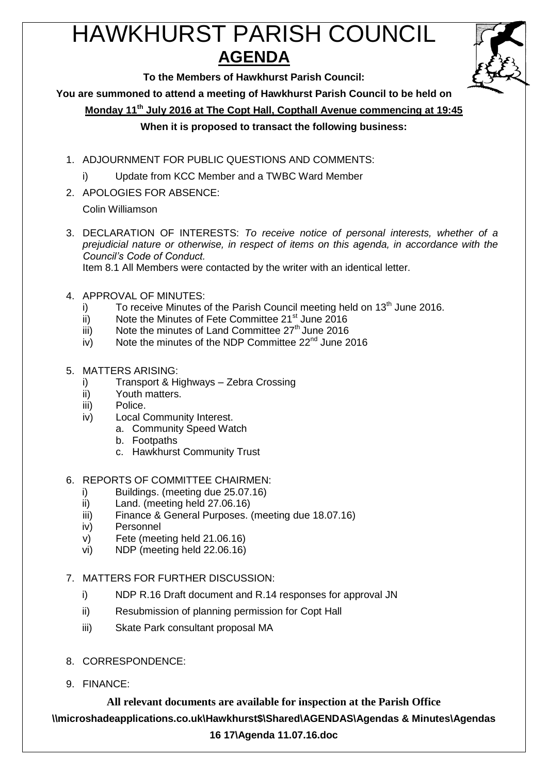# HAWKHURST PARISH COUNCIL **AGENDA**



**To the Members of Hawkhurst Parish Council:**

**You are summoned to attend a meeting of Hawkhurst Parish Council to be held on**

**Monday 11th July 2016 at The Copt Hall, Copthall Avenue commencing at 19:45**

# **When it is proposed to transact the following business:**

- 1. ADJOURNMENT FOR PUBLIC QUESTIONS AND COMMENTS:
	- i) Update from KCC Member and a TWBC Ward Member
- 2. APOLOGIES FOR ABSENCE:

Colin Williamson

3. DECLARATION OF INTERESTS: *To receive notice of personal interests, whether of a prejudicial nature or otherwise, in respect of items on this agenda, in accordance with the Council's Code of Conduct.*

Item 8.1 All Members were contacted by the writer with an identical letter.

- 4. APPROVAL OF MINUTES:
	- i) To receive Minutes of the Parish Council meeting held on  $13<sup>th</sup>$  June 2016.
	- ii) Note the Minutes of Fete Committee  $21^{st}$  June 2016
	- $\frac{1}{10}$  Note the minutes of Land Committee  $27^{\text{th}}$  June 2016
	- $iv)$  Note the minutes of the NDP Committee 22<sup>nd</sup> June 2016
- 5. MATTERS ARISING:
	- i) Transport & Highways Zebra Crossing
	- ii) Youth matters.
	- iii) Police.
	- iv) Local Community Interest.
		- a. Community Speed Watch
			- b. Footpaths
		- c. Hawkhurst Community Trust
- 6. REPORTS OF COMMITTEE CHAIRMEN:
	- i) Buildings. (meeting due 25.07.16)
	- ii) Land. (meeting held 27.06.16)
	- iii) Finance & General Purposes. (meeting due 18.07.16)
	- iv) Personnel
	- v) Fete (meeting held 21.06.16)
	- vi) NDP (meeting held 22.06.16)
- 7. MATTERS FOR FURTHER DISCUSSION:
	- i) NDP R.16 Draft document and R.14 responses for approval JN
	- ii) Resubmission of planning permission for Copt Hall
	- iii) Skate Park consultant proposal MA
- 8. CORRESPONDENCE:
- 9. FINANCE:

**All relevant documents are available for inspection at the Parish Office \\microshadeapplications.co.uk\Hawkhurst\$\Shared\AGENDAS\Agendas & Minutes\Agendas 16 17\Agenda 11.07.16.doc**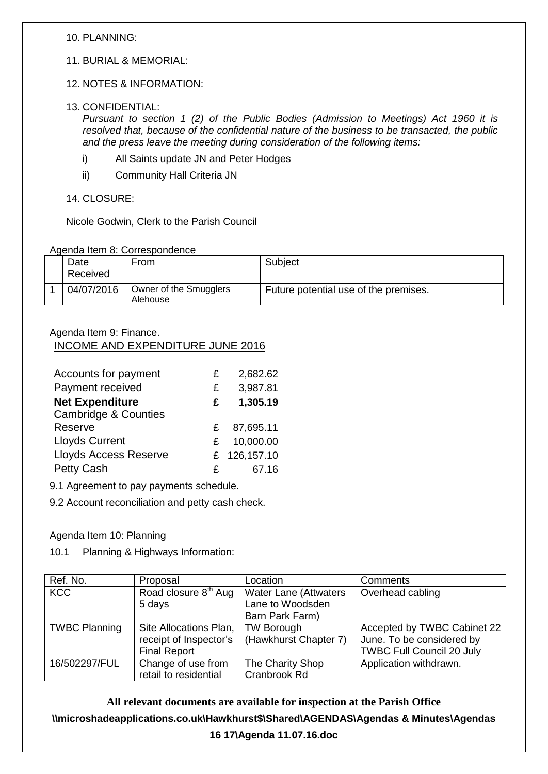### 10. PLANNING:

11. BURIAL & MEMORIAL:

#### 12. NOTES & INFORMATION:

#### 13. CONFIDENTIAL:

*Pursuant to section 1 (2) of the Public Bodies (Admission to Meetings) Act 1960 it is resolved that, because of the confidential nature of the business to be transacted, the public and the press leave the meeting during consideration of the following items:*

- i) All Saints update JN and Peter Hodges
- ii) Community Hall Criteria JN

14. CLOSURE:

Nicole Godwin, Clerk to the Parish Council

#### Agenda Item 8: Correspondence

| Date<br>Received | From                               | Subject                               |
|------------------|------------------------------------|---------------------------------------|
| 04/07/2016       | Owner of the Smugglers<br>Alehouse | Future potential use of the premises. |

#### Agenda Item 9: Finance. INCOME AND EXPENDITURE JUNE 2016

| Accounts for payment            | £ | 2,682.62     |
|---------------------------------|---|--------------|
| Payment received                | £ | 3,987.81     |
| <b>Net Expenditure</b>          | £ | 1,305.19     |
| <b>Cambridge &amp; Counties</b> |   |              |
| Reserve                         | £ | 87,695.11    |
| <b>Lloyds Current</b>           | £ | 10,000.00    |
| <b>Lloyds Access Reserve</b>    |   | £ 126,157.10 |
| <b>Petty Cash</b>               | £ | 67.16        |

9.1 Agreement to pay payments schedule.

9.2 Account reconciliation and petty cash check.

#### Agenda Item 10: Planning

10.1 Planning & Highways Information:

| Ref. No.             | Proposal                         | Location                     | Comments                         |
|----------------------|----------------------------------|------------------------------|----------------------------------|
| <b>KCC</b>           | Road closure 8 <sup>th</sup> Aug | <b>Water Lane (Attwaters</b> | Overhead cabling                 |
|                      | 5 days                           | Lane to Woodsden             |                                  |
|                      |                                  | Barn Park Farm)              |                                  |
| <b>TWBC Planning</b> | Site Allocations Plan,           | <b>TW Borough</b>            | Accepted by TWBC Cabinet 22      |
|                      | receipt of Inspector's           | (Hawkhurst Chapter 7)        | June. To be considered by        |
|                      | <b>Final Report</b>              |                              | <b>TWBC Full Council 20 July</b> |
| 16/502297/FUL        | Change of use from               | The Charity Shop             | Application withdrawn.           |
|                      | retail to residential            | Cranbrook Rd                 |                                  |

**All relevant documents are available for inspection at the Parish Office \\microshadeapplications.co.uk\Hawkhurst\$\Shared\AGENDAS\Agendas & Minutes\Agendas 16 17\Agenda 11.07.16.doc**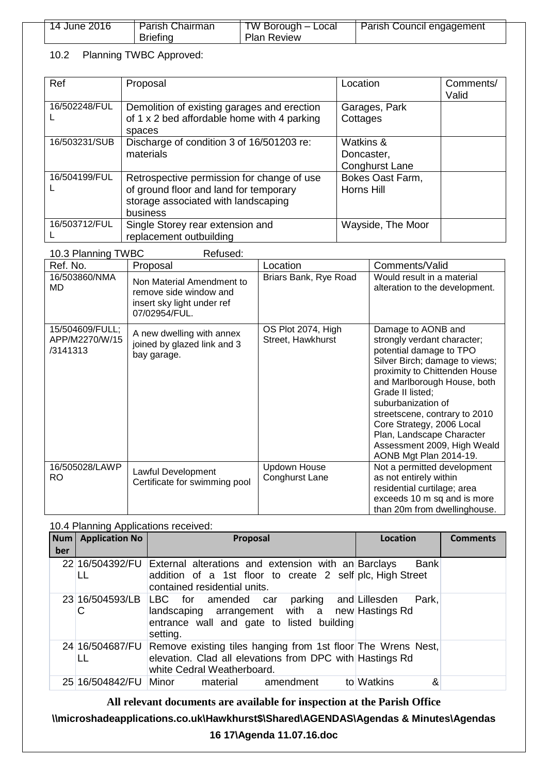| 14 June 2016 | Parish Chairman | TW Borough –<br>Local | Parish Council engagement |
|--------------|-----------------|-----------------------|---------------------------|
|              | Briefina        | <b>Plan Review</b>    |                           |

# 10.2 Planning TWBC Approved:

| Ref           | Proposal                                                                                                                                | Location                                         | Comments/<br>Valid |
|---------------|-----------------------------------------------------------------------------------------------------------------------------------------|--------------------------------------------------|--------------------|
| 16/502248/FUL | Demolition of existing garages and erection<br>of 1 x 2 bed affordable home with 4 parking<br>spaces                                    | Garages, Park<br>Cottages                        |                    |
| 16/503231/SUB | Discharge of condition 3 of 16/501203 re:<br>materials                                                                                  | Watkins &<br>Doncaster,<br><b>Conghurst Lane</b> |                    |
| 16/504199/FUL | Retrospective permission for change of use<br>of ground floor and land for temporary<br>storage associated with landscaping<br>business | Bokes Oast Farm,<br>Horns Hill                   |                    |
| 16/503712/FUL | Single Storey rear extension and<br>replacement outbuilding                                                                             | Wayside, The Moor                                |                    |

10.3 Planning TWBC Refused:

| Ref. No.                                      | Proposal                                                                                           | Location                                | Comments/Valid                                                                                                                                                                                                                                                                                                                                                               |
|-----------------------------------------------|----------------------------------------------------------------------------------------------------|-----------------------------------------|------------------------------------------------------------------------------------------------------------------------------------------------------------------------------------------------------------------------------------------------------------------------------------------------------------------------------------------------------------------------------|
| 16/503860/NMA<br><b>MD</b>                    | Non Material Amendment to<br>remove side window and<br>insert sky light under ref<br>07/02954/FUL. | Briars Bank, Rye Road                   | Would result in a material<br>alteration to the development.                                                                                                                                                                                                                                                                                                                 |
| 15/504609/FULL;<br>APP/M2270/W/15<br>/3141313 | A new dwelling with annex<br>joined by glazed link and 3<br>bay garage.                            | OS Plot 2074, High<br>Street, Hawkhurst | Damage to AONB and<br>strongly verdant character;<br>potential damage to TPO<br>Silver Birch; damage to views;<br>proximity to Chittenden House<br>and Marlborough House, both<br>Grade II listed;<br>suburbanization of<br>streetscene, contrary to 2010<br>Core Strategy, 2006 Local<br>Plan, Landscape Character<br>Assessment 2009, High Weald<br>AONB Mgt Plan 2014-19. |
| 16/505028/LAWP<br><b>RO</b>                   | Lawful Development<br>Certificate for swimming pool                                                | <b>Updown House</b><br>Conghurst Lane   | Not a permitted development<br>as not entirely within<br>residential curtilage; area<br>exceeds 10 m sq and is more<br>than 20m from dwellinghouse.                                                                                                                                                                                                                          |

### 10.4 Planning Applications received:

| <b>Num</b><br>ber | <b>Application No</b>  | Proposal                                                                                                                                                             | Location        | <b>Comments</b> |
|-------------------|------------------------|----------------------------------------------------------------------------------------------------------------------------------------------------------------------|-----------------|-----------------|
|                   | 22 16/504392/FU<br>LL  | External alterations and extension with an Barclays<br>addition of a 1st floor to create 2 self plc, High Street<br>contained residential units.                     | <b>Bank</b>     |                 |
|                   | С                      | 23 16/504593/LB LBC for amended car parking and Lillesden<br>landscaping arrangement with a new Hastings Rd<br>entrance wall and gate to listed building<br>setting. | Park,           |                 |
|                   | 24 16/504687/FU<br>LL. | Remove existing tiles hanging from 1st floor The Wrens Nest,<br>elevation. Clad all elevations from DPC with Hastings Rd<br>white Cedral Weatherboard.               |                 |                 |
|                   | 25 16/504842/FU Minor  | material<br>amendment                                                                                                                                                | to Watkins<br>& |                 |

**All relevant documents are available for inspection at the Parish Office**

# **\\microshadeapplications.co.uk\Hawkhurst\$\Shared\AGENDAS\Agendas & Minutes\Agendas**

**16 17\Agenda 11.07.16.doc**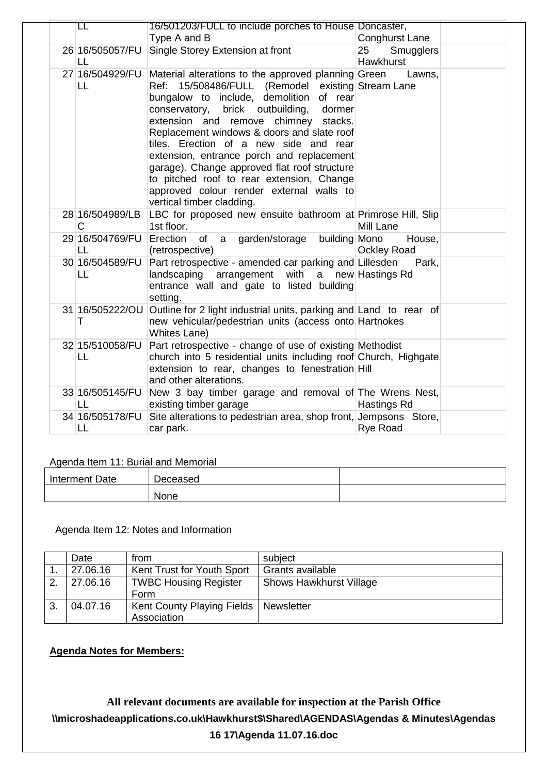| LL                    | 16/501203/FULL to include porches to House Doncaster,<br>Type A and B                                                                                                                                                                                                                                                                                                                                                                                                                                                                                   | Conghurst Lane               |
|-----------------------|---------------------------------------------------------------------------------------------------------------------------------------------------------------------------------------------------------------------------------------------------------------------------------------------------------------------------------------------------------------------------------------------------------------------------------------------------------------------------------------------------------------------------------------------------------|------------------------------|
| 26 16/505057/FU       | Single Storey Extension at front                                                                                                                                                                                                                                                                                                                                                                                                                                                                                                                        | 25 <sub>2</sub><br>Smugglers |
| LL                    |                                                                                                                                                                                                                                                                                                                                                                                                                                                                                                                                                         | Hawkhurst                    |
| 27 16/504929/FU<br>LL | Material alterations to the approved planning Green<br>Ref: 15/508486/FULL (Remodel existing Stream Lane<br>bungalow to include, demolition of rear<br>brick outbuilding,<br>conservatory,<br>dormer<br>extension and remove chimney stacks.<br>Replacement windows & doors and slate roof<br>tiles. Erection of a new side and rear<br>extension, entrance porch and replacement<br>garage). Change approved flat roof structure<br>to pitched roof to rear extension, Change<br>approved colour render external walls to<br>vertical timber cladding. | Lawns,                       |
| 28 16/504989/LB<br>C  | LBC for proposed new ensuite bathroom at Primrose Hill, Slip<br>1st floor.                                                                                                                                                                                                                                                                                                                                                                                                                                                                              | Mill Lane                    |
| 29 16/504769/FU<br>LL | Erection<br>garden/storage building Mono<br>of a<br>(retrospective)                                                                                                                                                                                                                                                                                                                                                                                                                                                                                     | House,<br><b>Ockley Road</b> |
| 30 16/504589/FU<br>LL | Part retrospective - amended car parking and Lillesden<br>landscaping arrangement with a new Hastings Rd<br>entrance wall and gate to listed building<br>setting.                                                                                                                                                                                                                                                                                                                                                                                       | Park,                        |
| 31 16/505222/OU<br>т  | Outline for 2 light industrial units, parking and Land to rear of<br>new vehicular/pedestrian units (access onto Hartnokes<br>Whites Lane)                                                                                                                                                                                                                                                                                                                                                                                                              |                              |
| 32 15/510058/FU<br>LL | Part retrospective - change of use of existing Methodist<br>church into 5 residential units including roof Church, Highgate<br>extension to rear, changes to fenestration Hill<br>and other alterations.                                                                                                                                                                                                                                                                                                                                                |                              |
| 33 16/505145/FU<br>LL | New 3 bay timber garage and removal of The Wrens Nest,<br>existing timber garage                                                                                                                                                                                                                                                                                                                                                                                                                                                                        | Hastings Rd                  |
| 34 16/505178/FU<br>LL | Site alterations to pedestrian area, shop front, Jempsons Store,<br>car park.                                                                                                                                                                                                                                                                                                                                                                                                                                                                           | <b>Rye Road</b>              |

Agenda Item 11: Burial and Memorial

| Interment Date | Deceased |  |
|----------------|----------|--|
|                | None     |  |

Agenda Item 12: Notes and Information

|    | Date     | from                         | subject                        |
|----|----------|------------------------------|--------------------------------|
|    | 27.06.16 | Kent Trust for Youth Sport   | Grants available               |
| 2. | 27.06.16 | <b>TWBC Housing Register</b> | <b>Shows Hawkhurst Village</b> |
|    |          | Form                         |                                |
| 3. | 04.07.16 | Kent County Playing Fields   | Newsletter                     |
|    |          | Association                  |                                |

**Agenda Notes for Members:**

**All relevant documents are available for inspection at the Parish Office \\microshadeapplications.co.uk\Hawkhurst\$\Shared\AGENDAS\Agendas & Minutes\Agendas 16 17\Agenda 11.07.16.doc**